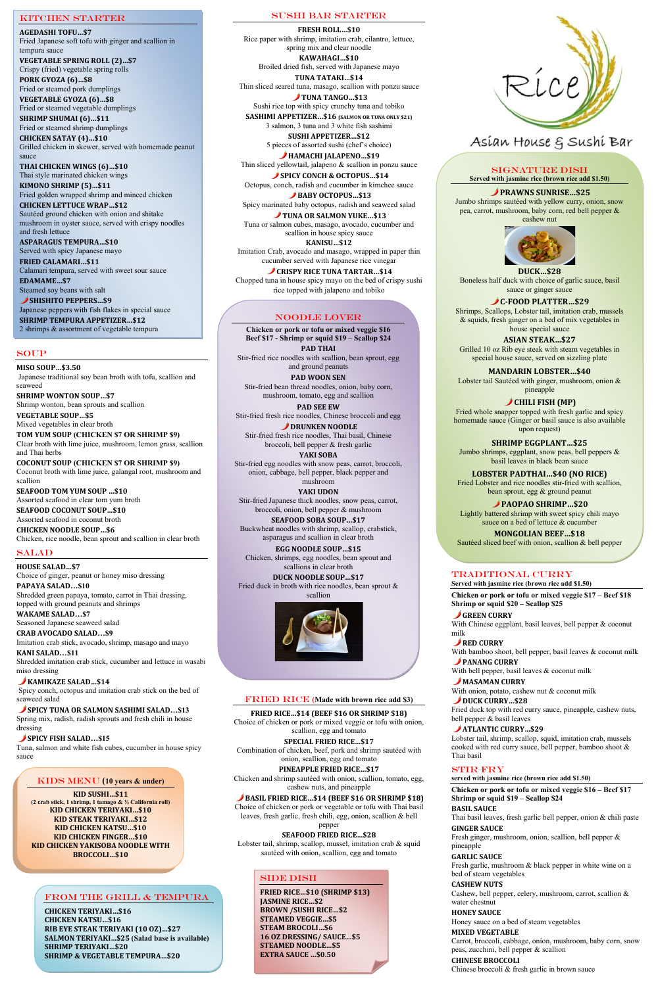#### SOUP

**MISO SOUP…\$3.50** Japanese traditional soy bean broth with tofu, scallion and seaweed

**SHRIMP WONTON SOUP…\$7**  Shrimp wonton, bean sprouts and scallion

**VEGETABLE SOUP…\$5**  Mixed vegetables in clear broth

**TOM YUM SOUP (CHICKEN \$7 OR SHRIMP \$9)** Clear broth with lime juice, mushroom, lemon grass, scallion and Thai herbs

**COCONUT SOUP (CHICKEN \$7 OR SHRIMP \$9)**  Coconut broth with lime juice, galangal root, mushroom and scallion

**SEAFOOD TOM YUM SOUP …\$10**  Assorted seafood in clear tom yum broth **SEAFOOD COCONUT SOUP…\$10** 

Assorted seafood in coconut broth **CHICKEN NOODLE SOUP…\$6**

Chicken, rice noodle, bean sprout and scallion in clear broth

#### SALAD

**HOUSE SALAD…\$7** Choice of ginger, peanut or honey miso dressing Thin sliced seared tuna, masago, scallion with ponzu sauce TUNA TANGO…\$13

**PAPAYA SALAD…\$10** Shredded green papaya, tomato, carrot in Thai dressing, topped with ground peanuts and shrimps

**WAKAME SALAD…\$7** Seasoned Japanese seaweed salad Thin sliced yellowtail, jalapeno & scallion in ponzu sauce **SPICY CONCH & OCTOPUS...\$14** 

**CRAB AVOCADO SALAD…\$9** Imitation crab stick, avocado, shrimp, masago and mayo **KANI SALAD…\$11** Shredded imitation crab stick, cucumber and lettuce in wasabi

miso dressing

#### **KAMIKAZE SALAD…\$14**

TUNA OR SALMON YUKE…\$13 Tuna or salmon cubes, masago, avocado, cucumber and scallion in house spicy sauce **KANISU…\$12**

Spicy conch, octopus and imitation crab stick on the bed of seaweed salad

#### **SPICY TUNA OR SALMON SASHIMI SALAD…\$13**

**CRISPY RICE TUNA TARTAR...\$14** Chopped tuna in house spicy mayo on the bed of crispy sushi rice topped with jalapeno and tobiko

Spring mix, radish, radish sprouts and fresh chili in house dressing

# **SPICY FISH SALAD…\$15**

Tuna, salmon and white fish cubes, cucumber in house spicy sauce

#### Sushi bar STARTER

**FRESH ROLL…\$10** Rice paper with shrimp, imitation crab, cilantro, lettuce, spring mix and clear noodle **KAWAHAGI…\$10**

Broiled dried fish, served with Japanese mayo **TUNA TATAKI…\$14**

Lobster tail, shrimp, scallop, mussel, imitation crab & squid sautéed with onion, scallion, egg and tomato

# SIDE DISH

Sushi rice top with spicy crunchy tuna and tobiko **SASHIMI APPETIZER…\$16 (SALMON OR TUNA ONLY \$21)**

> milk **RED CURRY**

With bell pepper, basil leaves & coconut milk **MASAMAN CURRY** 

3 salmon, 3 tuna and 3 white fish sashimi **SUSHI APPETIZER…\$12**

5 pieces of assorted sushi (chef's choice) **HAMACHI JALAPENO…\$19**

Octopus, conch, radish and cucumber in kimchee sauce

**BABY OCTOPUS…\$13** Spicy marinated baby octopus, radish and seaweed salad

Imitation Crab, avocado and masago, wrapped in paper thin cucumber served with Japanese rice vinegar

### FRIED RICE **(Made with brown rice add \$3)**

#### **FRIED RICE…\$14 (BEEF \$16 OR SHRIMP \$18)**

Choice of chicken or pork or mixed veggie or tofu with onion,

scallion, egg and tomato

#### **SPECIAL FRIED RICE…\$17**

Combination of chicken, beef, pork and shrimp sautéed with onion, scallion, egg and tomato

#### **PINEAPPLE FRIED RICE…\$17**

Chicken and shrimp sautéed with onion, scallion, tomato, egg, cashew nuts, and pineapple

### **BASIL FRIED RICE…\$14 (BEEF \$16 OR SHRIMP \$18)**

SHISHITO PEPPERS...\$9 Japanese peppers with fish flakes in special sauce **SHRIMP TEMPURA APPETIZER…\$12**

> Choice of chicken or pork or vegetable or tofu with Thai basil leaves, fresh garlic, fresh chili, egg, onion, scallion & bell

#### pepper **SEAFOOD FRIED RICE…\$28**

# Traditional cURRY

**Served with jasmine rice (brown rice add \$1.50)**

**Chicken or pork or tofu or mixed veggie \$17 – Beef \$18 Shrimp or squid \$20 – Scallop \$25**

**GREEN CURRY** With Chinese eggplant, basil leaves, bell pepper & coconut

With bamboo shoot, bell pepper, basil leaves & coconut milk **PANANG CURRY**

With onion, potato, cashew nut & coconut milk

#### DUCK CURRY…\$28

Fried duck top with red curry sauce, pineapple, cashew nuts, bell pepper & basil leaves

# **ATLANTIC CURRY…\$29**

**DRUNKEN NOODLE** Stir-fried fresh rice noodles, Thai basil, Chinese broccoli, bell pepper & fresh garlic

> Lobster tail, shrimp, scallop, squid, imitation crab, mussels cooked with red curry sauce, bell pepper, bamboo shoot & Thai basil

#### STIR FRY

**served with jasmine rice (brown rice add \$1.50)**

**Chicken or pork or tofu or mixed veggie \$16 – Beef \$17 Shrimp or squid \$19 – Scallop \$24**

#### **BASIL SAUCE**

Thai basil leaves, fresh garlic bell pepper, onion & chili paste

#### **GINGER SAUCE**

Fresh ginger, mushroom, onion, scallion, bell pepper & pineapple

#### **GARLIC SAUCE**

Fresh garlic, mushroom & black pepper in white wine on a bed of steam vegetables

#### **CASHEW NUTS**

Cashew, bell pepper, celery, mushroom, carrot, scallion & water chestnut

#### **HONEY SAUCE**

Honey sauce on a bed of steam vegetables

#### **MIXED VEGETABLE**

Carrot, broccoli, cabbage, onion, mushroom, baby corn, snow peas, zucchini, bell pepper & scallion

#### **CHINESE BROCCOLI** Chinese broccoli & fresh garlic in brown sauce

#### KIDS MENU **(10 years & under)**

**KID SUSHI…\$11 (2 crab stick, 1 shrimp, 1 tamago & ½ California roll) KID CHICKEN TERIYAKI…\$10 KID STEAK TERIYAKI…\$12 KID CHICKEN KATSU…\$10 KID CHICKEN FINGER…\$10 KID CHICKEN YAKISOBA NOODLE WITH BROCCOLI…\$10** 

# Kitchen STARTER

**AGEDASHI TOFU…\$7** Fried Japanese soft tofu with ginger and scallion in tempura sauce

**VEGETABLE SPRING ROLL (2)…\$7** Crispy (fried) vegetable spring rolls

**PORK GYOZA (6)…\$8** Fried or steamed pork dumplings

**VEGETABLE GYOZA (6)…\$8** Fried or steamed vegetable dumplings

**SHRIMP SHUMAI (6)…\$11**  Fried or steamed shrimp dumplings **CHICKEN SATAY (4)…\$10** 

Grilled chicken in skewer, served with homemade peanut sauce

**THAI CHICKEN WINGS (6)…\$10** Thai style marinated chicken wings **KIMONO SHRIMP (5)…\$11**

Fried golden wrapped shrimp and minced chicken

**CHICKEN LETTUCE WRAP…\$12**  Sautéed ground chicken with onion and shitake mushroom in oyster sauce, served with crispy noodles and fresh lettuce

**ASPARAGUS TEMPURA…\$10**  Served with spicy Japanese mayo **FRIED CALAMARI…\$11**

Calamari tempura, served with sweet sour sauce

**EDAMAME…\$7** Steamed soy beans with salt

2 shrimps & assortment of vegetable tempura

# SIGNATURE DISH

**Served with jasmine rice (brown rice add \$1.50)**

#### **PRAWNS SUNRISE…\$25**

Jumbo shrimps sautéed with yellow curry, onion, snow pea, carrot, mushroom, baby corn, red bell pepper & cashew nut



Boneless half duck with choice of garlic sauce, basil sauce or ginger sauce

 **C-FOOD PLATTER…\$29**

Shrimps, Scallops, Lobster tail, imitation crab, mussels & squids, fresh ginger on a bed of mix vegetables in house special sauce

**ASIAN STEAK…\$27**

Grilled 10 oz Rib eye steak with steam vegetables in special house sauce, served on sizzling plate

**MANDARIN LOBSTER…\$40** Lobster tail Sautéed with ginger, mushroom, onion & pineapple

**CHILI FISH (MP)** Fried whole snapper topped with fresh garlic and spicy

homemade sauce (Ginger or basil sauce is also available upon request)

**SHRIMP EGGPLANT…\$25** Jumbo shrimps, eggplant, snow peas, bell peppers & basil leaves in black bean sauce

**LOBSTER PADTHAI…\$40 (NO RICE)** Fried Lobster and rice noodles stir-fried with scallion, bean sprout, egg & ground peanut

**PAOPAO SHRIMP…\$20** Lightly battered shrimp with sweet spicy chili mayo sauce on a bed of lettuce & cucumber

**MONGOLIAN BEEF…\$18** Sautéed sliced beef with onion, scallion & bell pepper

#### NOODLE LOVER

**Chicken or pork or tofu or mixed veggie \$16 Beef \$17 - Shrimp or squid \$19 – Scallop \$24 PAD THAI**

Stir-fried rice noodles with scallion, bean sprout, egg and ground peanuts

**PAD WOON SEN** Stir-fried bean thread noodles, onion, baby corn, mushroom, tomato, egg and scallion

**PAD SEE EW** Stir-fried fresh rice noodles, Chinese broccoli and egg

**YAKI SOBA** Stir-fried egg noodles with snow peas, carrot, broccoli, onion, cabbage, bell pepper, black pepper and mushroom

**YAKI UDON** Stir-fried Japanese thick noodles, snow peas, carrot, broccoli, onion, bell pepper & mushroom

**SEAFOOD SOBA SOUP…\$17**  Buckwheat noodles with shrimp, scallop, crabstick, asparagus and scallion in clear broth

**EGG NOODLE SOUP…\$15** Chicken, shrimps, egg noodles, bean sprout and scallions in clear broth

**DUCK NOODLE SOUP…\$17** Fried duck in broth with rice noodles, bean sprout & scallion



# Asían House & Sushí Bar

**FRIED RICE…\$10 (SHRIMP \$13) JASMINE RICE…\$2 BROWN /SUSHI RICE…\$2 STEAMED VEGGIE…\$5 STEAM BROCOLI…\$6 16 OZ DRESSING/ SAUCE…\$5 STEAMED NOODLE…\$5 EXTRA SAUCE …\$0.50**

#### FROM THE GRILL & TEMPURA

**CHICKEN TERIYAKI…\$16 CHICKEN KATSU…\$16 RIB EYE STEAK TERIYAKI (10 OZ)…\$27 SALMON TERIYAKI…\$25 (Salad base is available) SHRIMP TERIYAKI…\$20 SHRIMP & VEGETABLE TEMPURA…\$20**